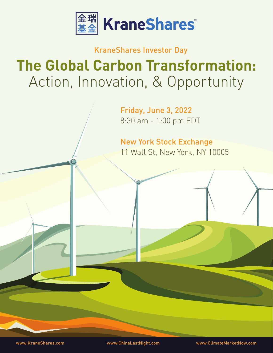

# KraneShares Investor Day **The Global Carbon Transformation:** Action, Innovation, & Opportunity

Friday, June 3, 2022 8:30 am - 1:00 pm EDT

11 Wall St, New York, NY 10005 New York Stock Exchange

www.KraneShares.com www.ChinaLastNight.com www.ClimateMarketNow.com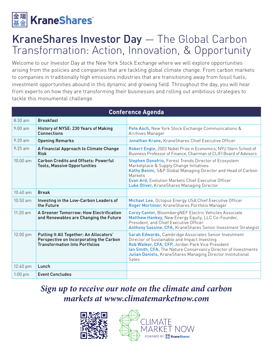

## KraneShares Investor Day — The Global Carbon Transformation: Action, Innovation, & Opportunity

Welcome to our Investor Day at the New York Stock Exchange where we will explore opportunities arising from the policies and companies that are tackling global climate change. From carbon markets to companies in traditionally high emissions industries that are transitioning away from fossil fuels, investment opportunities abound in this dynamic and growing field. Throughout the day, you will hear from experts on how they are transforming their businesses and rolling out ambitious strategies to tackle this monumental challenge.

| <b>Conference Agenda</b> |                                                                                                                             |                                                                                                                                                                                                                                                                                                     |
|--------------------------|-----------------------------------------------------------------------------------------------------------------------------|-----------------------------------------------------------------------------------------------------------------------------------------------------------------------------------------------------------------------------------------------------------------------------------------------------|
| $8:30$ am                | <b>Breakfast</b>                                                                                                            |                                                                                                                                                                                                                                                                                                     |
| $9:00$ am                | History of NYSE: 230 Years of Making<br>Connections                                                                         | Pete Asch, New York Stock Exchange Communications &<br>Archives Manager                                                                                                                                                                                                                             |
| $9.20 \text{ am}$        | <b>Opening Remarks</b>                                                                                                      | Jonathan Krane, KraneShares Chief Executive Officer                                                                                                                                                                                                                                                 |
| $9:25$ am                | A Financial Approach to Climate Change<br><b>Risk</b>                                                                       | Robert Engle, 2003 Nobel Prize in Economics, NYU Stern School of<br>Business Professor of Finance, Chairman of CLIFI Board of Advisors                                                                                                                                                              |
| $10:00$ am               | <b>Carbon Credits and Offsets: Powerful</b><br><b>Tools, Massive Opportunities</b>                                          | Stephen Donofrio, Forest Trends Director of Ecosystem<br>Marketplace & Supply Change Initiatives<br>Kathy Benini, S&P Global Managing Director and Head of Carbon<br>Markets<br>Evan Ard, Evolution Markets Chief Executive Officer<br>Luke Oliver, KraneShares Managing Director                   |
| $10:40$ am               | <b>Break</b>                                                                                                                |                                                                                                                                                                                                                                                                                                     |
| $10:50$ am               | Investing in the Low-Carbon Leaders of<br>the Future                                                                        | Michael Lee, Octopus Energy USA Chief Executive Officer<br>Roger Mortimer, KraneShares Portfolio Manager                                                                                                                                                                                            |
| $11:20$ am               | A Greener Tomorrow: How Electrification<br>and Renewables are Changing the Future                                           | <b>Corey Cantor, BloombergNEF Electric Vehicles Associate</b><br>Matthew Hankey, New Energy Equity, LLC Co-Founder,<br>President, and Chief Executive Officer<br>Anthony Sassine, CFA, KraneShares Senior Investment Strategist                                                                     |
| 12:00 pm                 | Putting It All Together: An Allocators'<br>Perspective on Incorporating the Carbon<br><b>Transformation Into Portfolios</b> | Sarah Edwards, Cambridge Associates Senior Investment<br>Director of Sustainable and Impact Investing<br>Rob Walker, CFA, CFP, Jordan Park Vice President<br>Ian Smith, CFA, The Nature Conservancy Director of Investments<br>Julian Daniels, KraneShares Managing Director Institutional<br>Sales |
| 12:40 pm                 | Lunch                                                                                                                       |                                                                                                                                                                                                                                                                                                     |
| $1:00$ pm                | <b>Event Concludes</b>                                                                                                      |                                                                                                                                                                                                                                                                                                     |

## *Sign up to receive our note on the climate and carbon markets at www.climatemarketnow.com*



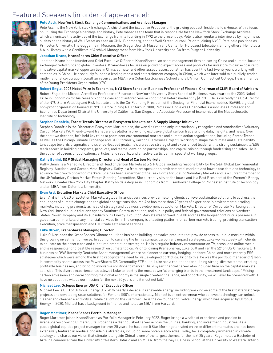### Featured Speakers (in order of appearance):



#### **Pete Asch,** New York Stock Exchange Communications and Archives Manager

Pete Asch is the New York Stock Exchange Archivist and the Executive Producer of the growing podcast, Inside the ICE House. With a focus on utilizing the Exchange's heritage and history, Pete manages the team that is responsible for the New York Stock Exchange Archives which chronicles the activities of the Exchange from its founding in 1792 to the present day. Pete is also regularly interviewed by major news outlets on the history of Wall Street as seen on CNN, Bloomberg, and the Wall Street Journal. Prior to joining NYSE, Pete held positions as Princeton University, The Guggenheim Museum, the Oregon Jewish Museum and Center for Holocaust Education, among others. He holds a MA in History with a Certificate of Archival Management from New York University and BA from Rutgers University.





#### **Jonathan Krane,** KraneShares Chief Executive Officer

Jonathan Krane is the founder and Chief Executive Officer of KraneShares, an asset management firm delivering China and climate-focused exchange-traded funds to global investors. KraneShares focuses on providing expert access and products for investors to gain exposure to innovative capital market opportunities in China, climate, and other asset classes. Jonathan has spent the last twenty years working with companies in China. He previously founded a leading media and entertainment company in China, which was later sold to a publicly-traded multi-national corporation. Jonathan received an MBA from Columbia Business School and a BA from Connecticut College. He is a member of the Young Presidents Organization (YPO).

#### **Robert Engle,** 2003 Nobel Prize in Economics, NYU Stern School of Business Professor of Finance, Chairman of CLIFI Board of Advisors

Robert Engle, the Michael Armellino Professor of Finance at New York University Stern School of Business, was awarded the 2003 Nobel Prize in Economics for his research on the concept of autoregressive conditional heteroskedasticity (ARCH). He is currently the Co-Director of the NYU Stern Volatility and Risk Institute and is the Co-Founding President of the Society for Financial Econometrics (SoFiE), a global non-profit organization housed at NYU. Before joining NYU Stern in 2000, Professor Engle was Chancellor's Associates Professor and Economics Department Chair at the University of California, San Diego, and Associate Professor of Economics at the Massachusetts Institute of Technology.

#### **Stephen Donofrio,** Forest Trends Director of Ecosystem Marketplace & Supply Change Initiatives

Stephen Donofrio is the Director of Ecosystem Marketplace, the world's first and only internationally recognized and standardized Voluntary Carbon Markets (VCM) end-to-end transparency platform providing exclusive global carbon trade pricing data, insights, and news. Over the past two decades, he's held key roles at prominent environmental markets and climate action organizations, including Forest Trends, as well as the Chicago Climate Exchange and CDP (formerly, Carbon Disclosure Project). Working to shape the climate and sustainability landscape towards pragmatic and science-focused goals, he's a creative strategist and experienced leader with a strong sustainability/ESG track record in building programs, products, and teams, developing partnerships, and capital raising through fundraising and sales. He is the author of dozens of publications, articles, and reports, and an active participant in specialist working groups.

#### **Kathy Benini,** S&P Global Managing Director and Head of Carbon Markets

Kathy Benini is a Managing Director and Head of Carbon Markets at S & P Global including responsibility for the S&P Global Environmental Registry, Auctions, and Carbon Meta-Registry. Kathy is a frequent speaker on environmental markets and how to use data and technology to advance the growth of carbon markets. She has been a member of the Task Force for Scaling Voluntary Markets and is a current member of the UK Voluntary Carbon Market Forum Steering Committee. She currently sits on the board and is a Past President of the Women's Energy Network, Greater New York City Chapter. Kathy holds a degree in Economics from Eisenhower College of Rochester Institute of Technology and an MBA from Columbia University.



#### **Evan Ard,** Evolution Markets Chief Executive Officer

Evan Ard is the CEO of Evolution Markets, a global financial services provider helping clients achieve sustainable solutions to address the challenges of climate change and the global energy transition. Mr. Ard has more than 20 years of experience in environmental trading markets, including previously as head of strategy and business development at Evolution Markets, Director of Corporate Marketing at the New York-based public relations agency Southard Communications, and public policy and federal governmental relations at Northern States Power Company and its subsidiary NRG Energy. Evolution Markets was formed in 2000 and has the longest continuous presence in global carbon markets of any financial services firm. The company is a leading platform for carbon markets trading, providing transaction execution, price transparency, and OTC trade settlement services."



#### **Luke Oliver,** KraneShares Managing Director

Luke Oliver leads the KraneShares Climate solutions business building innovative products that provide access to unique markets within this growing investment universe. In addition to curating the firm's climate, carbon and impact strategies, Luke works closely with clients to educate on the asset class and client implementation strategies. He is a regular industry commentator on TV, press, and online media and is responsible for digestible research on climate topics. Prior to joining KraneShares, Luke built and ran the \$21bn US XTrackers ETF business at DWS (formerly Deutsche Asset Management) where he pioneered currency hedging, onshore China, and more recently ESG strategies which were among the first to recognize the need for value-aligned portfolios. Prior to this, he was the portfolio manager of \$16bn in commodity assets across the PowerShares DB Commodity ETF suite. Luke has a reputation for building strong, diverse teams, creating profitable businesses, and bringing innovative solutions to market. His 20-year financial career also included time on the capital markets sell-side. This diverse experience has allowed Luke to identify the most powerful emerging trends in the investment landscape. "Pricing carbon emissions and decarbonizing the global economy is the single greatest challenge, and opportunity, we will ever be presented with. I have no doubt this will be our mission for the next 20 years and it must not fail."



#### **Michael Lee,** Octopus Energy USA Chief Executive Officer

Michael Lee is CEO of Octopus Energy U.S. With nearly a decade in renewable energy, including working on some of the first battery storage projects and developing solar solutions for Fortune 500's internationally, Michael is an entrepreneur who believes technology can unlock cleaner and cheaper electricity all while delighting the customer. He is the co-founder of Evolve Energy, which was acquired by Octopus Energy in 2020. Michael has a background in finance and holds an MBA from Harvard.



#### **Roger Mortimer,** KraneShares Portfolio Manager

Roger Mortimer joined KraneShares as Portfolio Manager in February 2022. Roger brings a wealth of experience and passion to KraneShares growing Climate Suite. Roger has a distinguished career across the utilities, banking, and investment industries. As a public global equities project manager for over 20 years, he has been 5 Star Morningstar rated on three different mandates and has been extensively featured in media alongside his strategies, including some notable accolades. Today, he is completely immersed in climate strategy and shares our vision that climate (alongside China) is one of the largest themes for the next 25 years. Roger holds a Bachelor of Arts in Economics from the University of Western Ontario and an M.B.A. from the Ivey Business School at the University of Western Ontario.